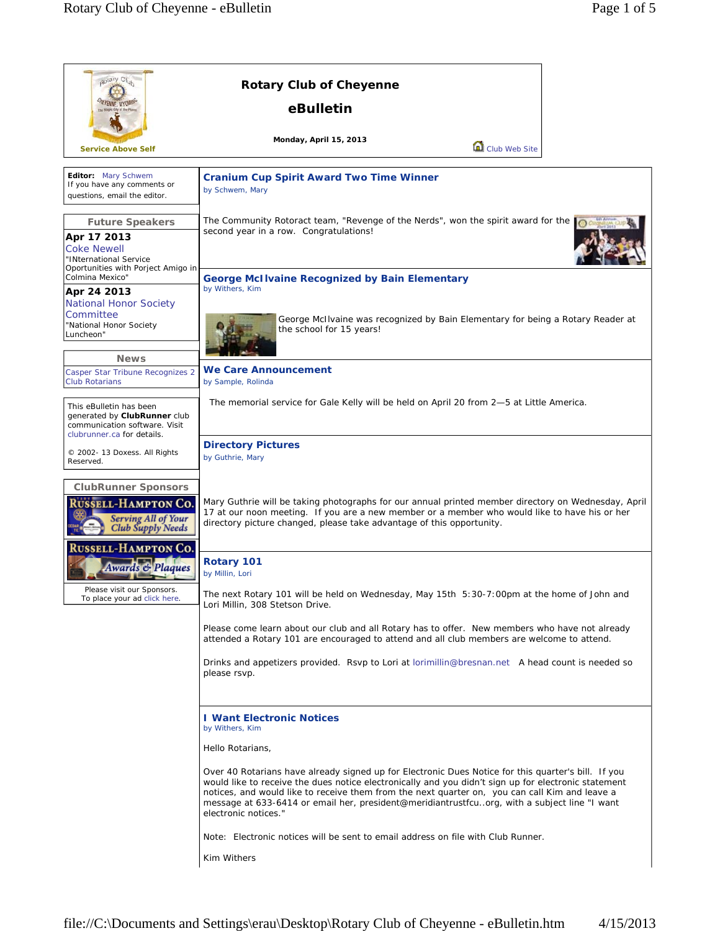| aptary Clut                                                                                                                                                                                                                 | <b>Rotary Club of Cheyenne</b>                                                                                                                                                                                                                                                                                                                                                                                                        |
|-----------------------------------------------------------------------------------------------------------------------------------------------------------------------------------------------------------------------------|---------------------------------------------------------------------------------------------------------------------------------------------------------------------------------------------------------------------------------------------------------------------------------------------------------------------------------------------------------------------------------------------------------------------------------------|
|                                                                                                                                                                                                                             | eBulletin                                                                                                                                                                                                                                                                                                                                                                                                                             |
| <b>Service Above Self</b>                                                                                                                                                                                                   | <b>Monday, April 15, 2013</b><br>Club Web Site                                                                                                                                                                                                                                                                                                                                                                                        |
| Editor: Mary Schwem<br>If you have any comments or<br>questions, email the editor.                                                                                                                                          | <b>Cranium Cup Spirit Award Two Time Winner</b><br>by Schwem, Mary                                                                                                                                                                                                                                                                                                                                                                    |
| <b>Future Speakers</b><br>Apr 17 2013<br><b>Coke Newell</b><br>"INternational Service<br>Oportunities with Porject Amigo in                                                                                                 | The Community Rotoract team, "Revenge of the Nerds", won the spirit award for the<br>second year in a row. Congratulations!                                                                                                                                                                                                                                                                                                           |
| Colmina Mexico"<br>Apr 24 2013<br><b>National Honor Society</b><br>Committee<br>"National Honor Society<br>Luncheon"                                                                                                        | <b>George McI Ivaine Recognized by Bain Elementary</b><br>by Withers, Kim<br>George McIlvaine was recognized by Bain Elementary for being a Rotary Reader at<br>the school for 15 years!                                                                                                                                                                                                                                              |
| <b>News</b><br>Casper Star Tribune Recognizes 2<br><b>Club Rotarians</b>                                                                                                                                                    | We Care Announcement<br>by Sample, Rolinda                                                                                                                                                                                                                                                                                                                                                                                            |
| This eBulletin has been<br>generated by ClubRunner club<br>communication software. Visit<br>clubrunner.ca for details.                                                                                                      | The memorial service for Gale Kelly will be held on April 20 from 2-5 at Little America.                                                                                                                                                                                                                                                                                                                                              |
| © 2002- 13 Doxess. All Rights<br>Reserved.                                                                                                                                                                                  | <b>Directory Pictures</b><br>by Guthrie, Mary                                                                                                                                                                                                                                                                                                                                                                                         |
| <b>ClubRunner Sponsors</b><br><b>RUSSELL-HAMPTON CO.</b><br><b>Serving All of Your<br/>Club Supply Needs</b><br><b>RUSSELL-HAMPTON CO.</b><br>Awards & Plaques<br>Please visit our Sponsors<br>To place your ad click here. | Mary Guthrie will be taking photographs for our annual printed member directory on Wednesday, April<br>17 at our noon meeting. If you are a new member or a member who would like to have his or her<br>directory picture changed, please take advantage of this opportunity.                                                                                                                                                         |
|                                                                                                                                                                                                                             | Rotary 101<br>by Millin, Lori                                                                                                                                                                                                                                                                                                                                                                                                         |
|                                                                                                                                                                                                                             | The next Rotary 101 will be held on Wednesday, May 15th 5:30-7:00pm at the home of John and<br>Lori Millin, 308 Stetson Drive.                                                                                                                                                                                                                                                                                                        |
|                                                                                                                                                                                                                             | Please come learn about our club and all Rotary has to offer. New members who have not already<br>attended a Rotary 101 are encouraged to attend and all club members are welcome to attend.                                                                                                                                                                                                                                          |
|                                                                                                                                                                                                                             | Drinks and appetizers provided. Rsvp to Lori at lorimillin@bresnan.net A head count is needed so<br>please rsvp.                                                                                                                                                                                                                                                                                                                      |
|                                                                                                                                                                                                                             | <b>I Want Electronic Notices</b><br>by Withers, Kim<br>Hello Rotarians,                                                                                                                                                                                                                                                                                                                                                               |
|                                                                                                                                                                                                                             | Over 40 Rotarians have already signed up for Electronic Dues Notice for this quarter's bill. If you<br>would like to receive the dues notice electronically and you didn't sign up for electronic statement<br>notices, and would like to receive them from the next quarter on, you can call Kim and leave a<br>message at 633-6414 or email her, president@meridiantrustfcuorg, with a subject line "I want<br>electronic notices." |
|                                                                                                                                                                                                                             | Note: Electronic notices will be sent to email address on file with Club Runner.                                                                                                                                                                                                                                                                                                                                                      |
|                                                                                                                                                                                                                             | Kim Withers                                                                                                                                                                                                                                                                                                                                                                                                                           |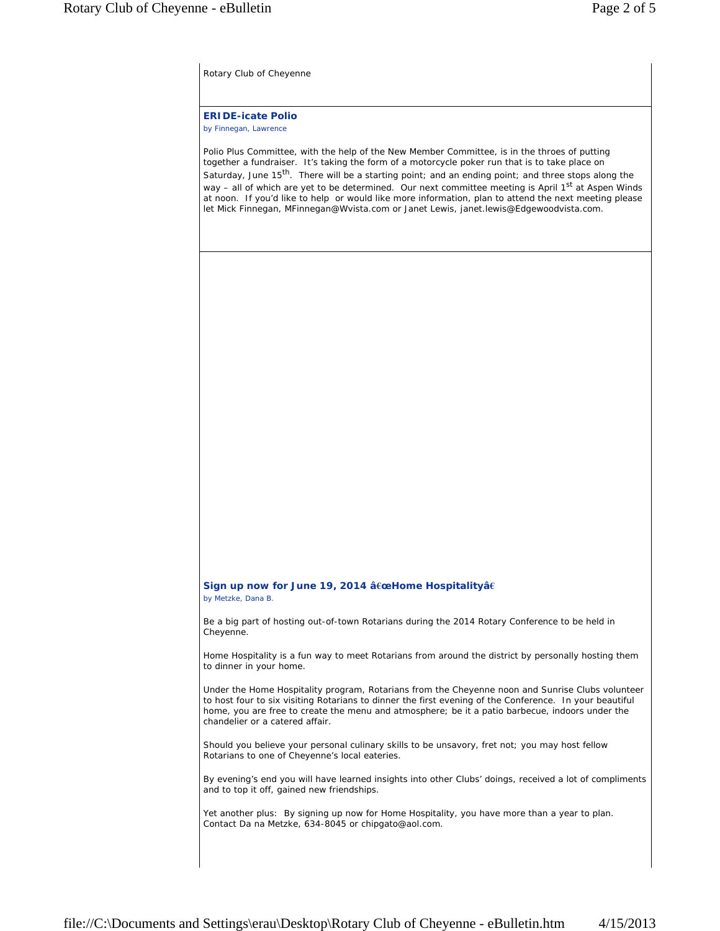Rotary Club of Cheyenne

**ERIDE-icate Polio** *by Finnegan, Lawrence*

Polio Plus Committee, with the help of the New Member Committee, is in the throes of putting together a fundraiser. It's taking the form of a motorcycle poker run that is to take place on Saturday, June 15<sup>th</sup>. There will be a starting point; and an ending point; and three stops along the way – all of which are yet to be determined. Our next committee meeting is April 1<sup>st</sup> at Aspen Winds at noon. If you'd like to help or would like more information, plan to attend the next meeting please let Mick Finnegan, MFinnegan@Wvista.com or Janet Lewis, janet.lewis@Edgewoodvista.com.

## **Sign up now for June 19, 2014 â€œHome Hospitalityâ€** *by Metzke, Dana B.*

Be a big part of hosting out-of-town Rotarians during the 2014 Rotary Conference to be held in Cheyenne.

Home Hospitality is a fun way to meet Rotarians from around the district by personally hosting them to dinner in your home.

Under the Home Hospitality program, Rotarians from the Cheyenne noon and Sunrise Clubs volunteer to host four to six visiting Rotarians to dinner the first evening of the Conference. In your beautiful home, you are free to create the menu and atmosphere; be it a patio barbecue, indoors under the chandelier or a catered affair.

Should you believe your personal culinary skills to be unsavory, fret not; you may host fellow Rotarians to one of Cheyenne's local eateries.

By evening's end you will have learned insights into other Clubs' doings, received a lot of compliments and to top it off, gained new friendships.

Yet another plus: By signing up now for Home Hospitality, you have more than a year to plan. Contact Da na Metzke, 634-8045 or chipgato@aol.com.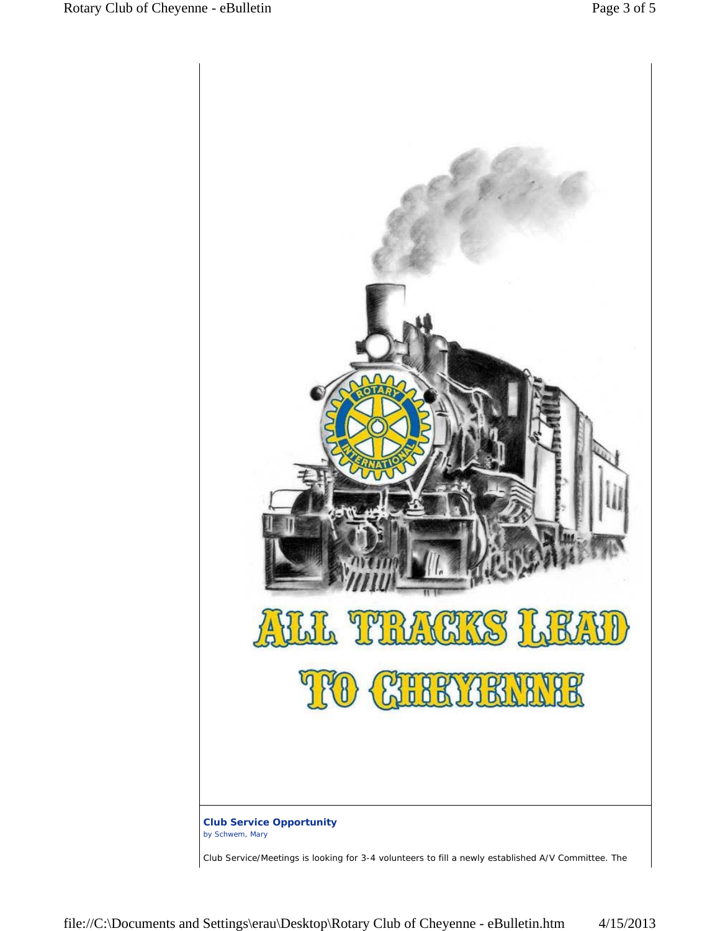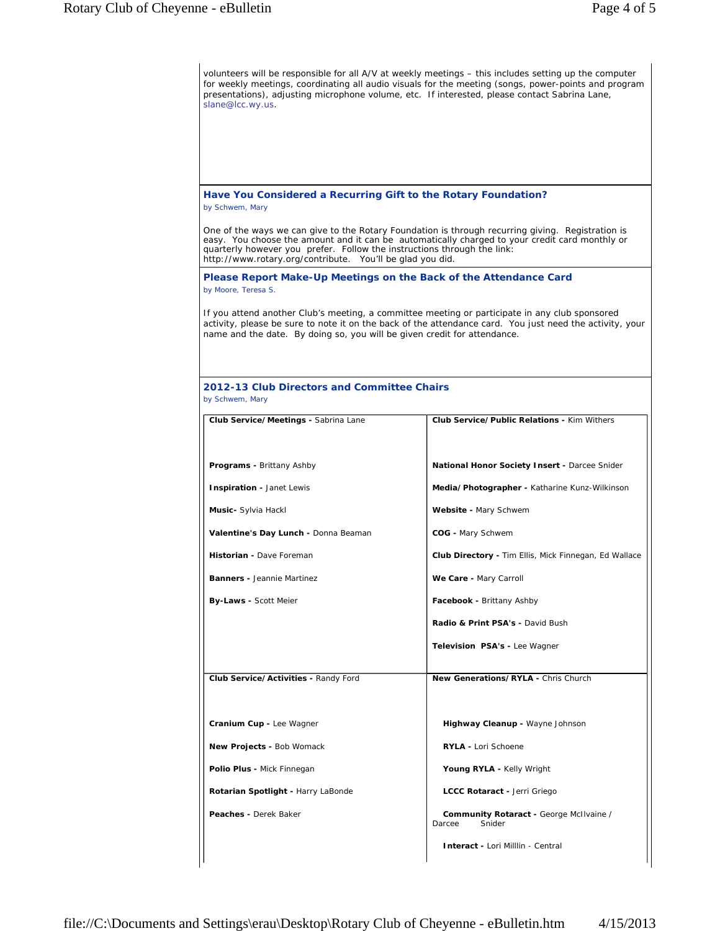| volunteers will be responsible for all A/V at weekly meetings – this includes setting up the computer<br>for weekly meetings, coordinating all audio visuals for the meeting (songs, power-points and program<br>presentations), adjusting microphone volume, etc. If interested, please contact Sabrina Lane,<br>slane@lcc.wy.us.          |                                                              |  |  |
|---------------------------------------------------------------------------------------------------------------------------------------------------------------------------------------------------------------------------------------------------------------------------------------------------------------------------------------------|--------------------------------------------------------------|--|--|
|                                                                                                                                                                                                                                                                                                                                             |                                                              |  |  |
| Have You Considered a Recurring Gift to the Rotary Foundation?<br>by Schwem, Mary                                                                                                                                                                                                                                                           |                                                              |  |  |
| One of the ways we can give to the Rotary Foundation is through recurring giving. Registration is<br>easy. You choose the amount and it can be automatically charged to your credit card monthly or<br>quarterly however you prefer. Follow the instructions through the link:<br>http://www.rotary.org/contribute. You'll be glad you did. |                                                              |  |  |
| Please Report Make-Up Meetings on the Back of the Attendance Card<br>by Moore, Teresa S.                                                                                                                                                                                                                                                    |                                                              |  |  |
| If you attend another Club's meeting, a committee meeting or participate in any club sponsored<br>activity, please be sure to note it on the back of the attendance card. You just need the activity, your<br>name and the date. By doing so, you will be given credit for attendance.                                                      |                                                              |  |  |
| 2012-13 Club Directors and Committee Chairs<br>by Schwem, Mary                                                                                                                                                                                                                                                                              |                                                              |  |  |
| Club Service/Meetings - Sabrina Lane                                                                                                                                                                                                                                                                                                        | <b>Club Service/Public Relations - Kim Withers</b>           |  |  |
|                                                                                                                                                                                                                                                                                                                                             |                                                              |  |  |
| <b>Programs - Brittany Ashby</b>                                                                                                                                                                                                                                                                                                            | <b>National Honor Society Insert - Darcee Snider</b>         |  |  |
| Inspiration - Janet Lewis                                                                                                                                                                                                                                                                                                                   | Media/Photographer - Katharine Kunz-Wilkinson                |  |  |
| Music- Sylvia Hackl                                                                                                                                                                                                                                                                                                                         | Website - Mary Schwem                                        |  |  |
| Valentine's Day Lunch - Donna Beaman                                                                                                                                                                                                                                                                                                        | COG - Mary Schwem                                            |  |  |
| Historian - Dave Foreman                                                                                                                                                                                                                                                                                                                    | <b>Club Directory - Tim Ellis, Mick Finnegan, Ed Wallace</b> |  |  |
| <b>Banners -</b> Jeannie Martinez                                                                                                                                                                                                                                                                                                           | We Care - Mary Carroll                                       |  |  |
| <b>By-Laws - Scott Meier</b>                                                                                                                                                                                                                                                                                                                | Facebook - Brittany Ashby                                    |  |  |
|                                                                                                                                                                                                                                                                                                                                             | Radio & Print PSA's - David Bush                             |  |  |
|                                                                                                                                                                                                                                                                                                                                             | Television PSA's - Lee Wagner                                |  |  |
| Club Service/Activities - Randy Ford                                                                                                                                                                                                                                                                                                        | New Generations/RYLA - Chris Church                          |  |  |
|                                                                                                                                                                                                                                                                                                                                             |                                                              |  |  |
| Cranium Cup - Lee Wagner                                                                                                                                                                                                                                                                                                                    | Highway Cleanup - Wayne Johnson                              |  |  |
| New Projects - Bob Womack                                                                                                                                                                                                                                                                                                                   | <b>RYLA - Lori Schoene</b>                                   |  |  |
| Polio Plus - Mick Finnegan                                                                                                                                                                                                                                                                                                                  | Young RYLA - Kelly Wright                                    |  |  |
| Rotarian Spotlight - Harry LaBonde                                                                                                                                                                                                                                                                                                          | LCCC Rotaract - Jerri Griego                                 |  |  |
| Peaches - Derek Baker                                                                                                                                                                                                                                                                                                                       | Community Rotaract - George McIlvaine /<br>Darcee<br>Snider  |  |  |
|                                                                                                                                                                                                                                                                                                                                             | <b>Interact - Lori Milllin - Central</b>                     |  |  |